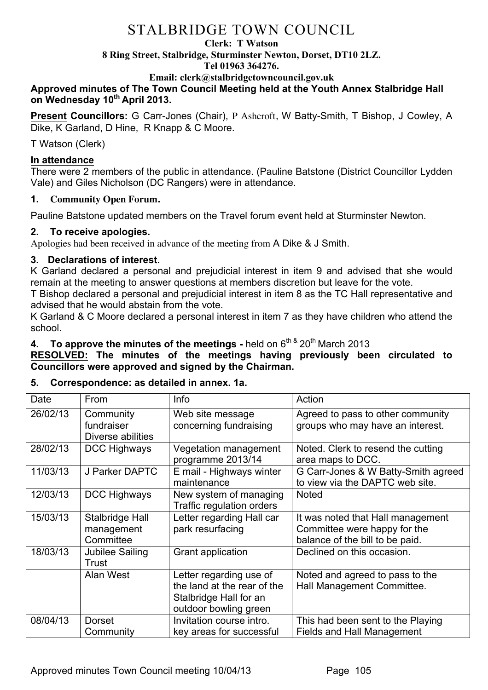#### **Clerk: T Watson**

**8 Ring Street, Stalbridge, Sturminster Newton, Dorset, DT10 2LZ.**

**Tel 01963 364276.** 

**Email: clerk@stalbridgetowncouncil.gov.uk**

**Approved minutes of The Town Council Meeting held at the Youth Annex Stalbridge Hall on Wednesday 10th April 2013.**

**Present Councillors:** G Carr-Jones (Chair), P Ashcroft, W Batty-Smith, T Bishop, J Cowley, A Dike, K Garland, D Hine, R Knapp & C Moore.

T Watson (Clerk)

## **In attendance**

There were 2 members of the public in attendance. (Pauline Batstone (District Councillor Lydden Vale) and Giles Nicholson (DC Rangers) were in attendance.

## **1. Community Open Forum.**

Pauline Batstone updated members on the Travel forum event held at Sturminster Newton.

# **2. To receive apologies.**

Apologies had been received in advance of the meeting from A Dike & J Smith.

# **3. Declarations of interest.**

K Garland declared a personal and prejudicial interest in item 9 and advised that she would remain at the meeting to answer questions at members discretion but leave for the vote.

T Bishop declared a personal and prejudicial interest in item 8 as the TC Hall representative and advised that he would abstain from the vote.

K Garland & C Moore declared a personal interest in item 7 as they have children who attend the school.

**4. To approve the minutes of the meetings** - held on 6<sup>th &</sup> 20<sup>th</sup> March 2013

**RESOLVED: The minutes of the meetings having previously been circulated to Councillors were approved and signed by the Chairman.**

# **5. Correspondence: as detailed in annex. 1a.**

| Date     | From                                         | Info                                                                                                      | Action                                                                                               |
|----------|----------------------------------------------|-----------------------------------------------------------------------------------------------------------|------------------------------------------------------------------------------------------------------|
| 26/02/13 | Community<br>fundraiser<br>Diverse abilities | Web site message<br>concerning fundraising                                                                | Agreed to pass to other community<br>groups who may have an interest.                                |
| 28/02/13 | DCC Highways                                 | Vegetation management<br>programme 2013/14                                                                | Noted. Clerk to resend the cutting<br>area maps to DCC.                                              |
| 11/03/13 | J Parker DAPTC                               | E mail - Highways winter<br>maintenance                                                                   | G Carr-Jones & W Batty-Smith agreed<br>to view via the DAPTC web site.                               |
| 12/03/13 | <b>DCC Highways</b>                          | New system of managing<br><b>Traffic regulation orders</b>                                                | <b>Noted</b>                                                                                         |
| 15/03/13 | Stalbridge Hall<br>management<br>Committee   | Letter regarding Hall car<br>park resurfacing                                                             | It was noted that Hall management<br>Committee were happy for the<br>balance of the bill to be paid. |
| 18/03/13 | Jubilee Sailing<br>Trust                     | Grant application                                                                                         | Declined on this occasion.                                                                           |
|          | Alan West                                    | Letter regarding use of<br>the land at the rear of the<br>Stalbridge Hall for an<br>outdoor bowling green | Noted and agreed to pass to the<br>Hall Management Committee.                                        |
| 08/04/13 | <b>Dorset</b><br>Community                   | Invitation course intro.<br>key areas for successful                                                      | This had been sent to the Playing<br><b>Fields and Hall Management</b>                               |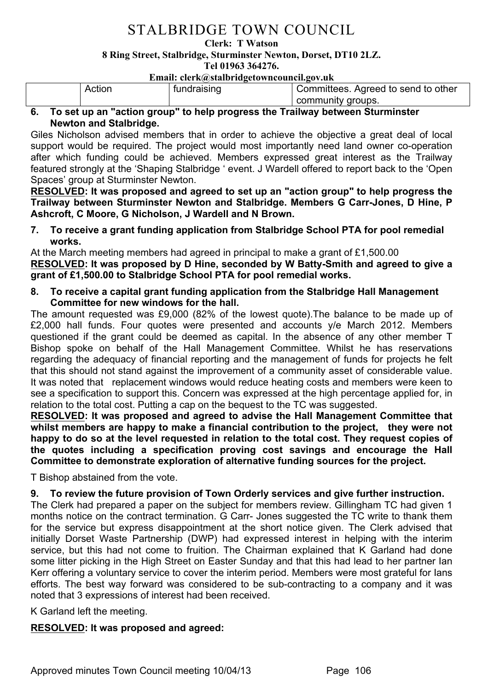### **Clerk: T Watson**

**8 Ring Street, Stalbridge, Sturminster Newton, Dorset, DT10 2LZ.**

**Tel 01963 364276.** 

#### **Email: clerk@stalbridgetowncouncil.gov.uk**

| Action | fundraising | Committees. Agreed to send to other |
|--------|-------------|-------------------------------------|
|        |             | community groups.                   |

### **6. To set up an "action group" to help progress the Trailway between Sturminster Newton and Stalbridge.**

Giles Nicholson advised members that in order to achieve the objective a great deal of local support would be required. The project would most importantly need land owner co-operation after which funding could be achieved. Members expressed great interest as the Trailway featured strongly at the 'Shaping Stalbridge ' event. J Wardell offered to report back to the 'Open Spaces' group at Sturminster Newton.

**RESOLVED: It was proposed and agreed to set up an "action group" to help progress the Trailway between Sturminster Newton and Stalbridge. Members G Carr-Jones, D Hine, P Ashcroft, C Moore, G Nicholson, J Wardell and N Brown.**

**7. To receive a grant funding application from Stalbridge School PTA for pool remedial works.**

At the March meeting members had agreed in principal to make a grant of £1,500.00 **RESOLVED: It was proposed by D Hine, seconded by W Batty-Smith and agreed to give a grant of £1,500.00 to Stalbridge School PTA for pool remedial works.**

**8. To receive a capital grant funding application from the Stalbridge Hall Management Committee for new windows for the hall.** 

The amount requested was £9,000 (82% of the lowest quote).The balance to be made up of £2,000 hall funds. Four quotes were presented and accounts y/e March 2012. Members questioned if the grant could be deemed as capital. In the absence of any other member T Bishop spoke on behalf of the Hall Management Committee. Whilst he has reservations regarding the adequacy of financial reporting and the management of funds for projects he felt that this should not stand against the improvement of a community asset of considerable value. It was noted that replacement windows would reduce heating costs and members were keen to see a specification to support this. Concern was expressed at the high percentage applied for, in relation to the total cost. Putting a cap on the bequest to the TC was suggested.

**RESOLVED: It was proposed and agreed to advise the Hall Management Committee that whilst members are happy to make a financial contribution to the project, they were not happy to do so at the level requested in relation to the total cost. They request copies of the quotes including a specification proving cost savings and encourage the Hall Committee to demonstrate exploration of alternative funding sources for the project.** 

T Bishop abstained from the vote.

### **9. To review the future provision of Town Orderly services and give further instruction.**

The Clerk had prepared a paper on the subject for members review. Gillingham TC had given 1 months notice on the contract termination. G Carr- Jones suggested the TC write to thank them for the service but express disappointment at the short notice given. The Clerk advised that initially Dorset Waste Partnership (DWP) had expressed interest in helping with the interim service, but this had not come to fruition. The Chairman explained that K Garland had done some litter picking in the High Street on Easter Sunday and that this had lead to her partner Ian Kerr offering a voluntary service to cover the interim period. Members were most grateful for Ians efforts. The best way forward was considered to be sub-contracting to a company and it was noted that 3 expressions of interest had been received.

K Garland left the meeting.

# **RESOLVED: It was proposed and agreed:**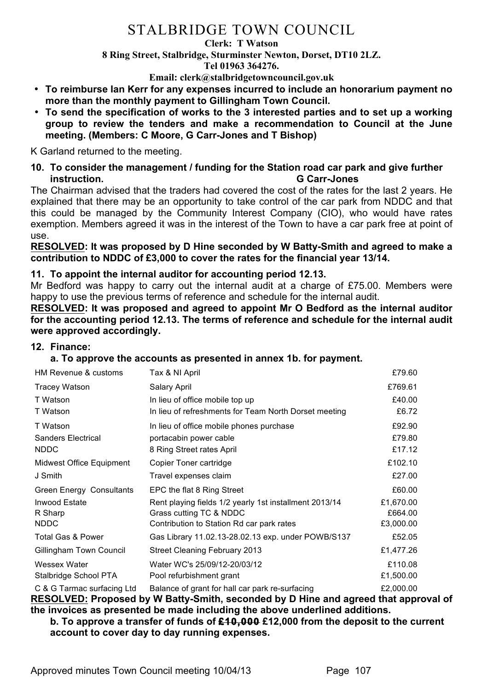### **Clerk: T Watson**

**8 Ring Street, Stalbridge, Sturminster Newton, Dorset, DT10 2LZ.**

**Tel 01963 364276.** 

**Email: clerk@stalbridgetowncouncil.gov.uk**

- **To reimburse Ian Kerr for any expenses incurred to include an honorarium payment no more than the monthly payment to Gillingham Town Council.**
- **To send the specification of works to the 3 interested parties and to set up a working group to review the tenders and make a recommendation to Council at the June meeting. (Members: C Moore, G Carr-Jones and T Bishop)**

K Garland returned to the meeting.

**10. To consider the management / funding for the Station road car park and give further instruction. G Carr-Jones**

The Chairman advised that the traders had covered the cost of the rates for the last 2 years. He explained that there may be an opportunity to take control of the car park from NDDC and that this could be managed by the Community Interest Company (CIO), who would have rates exemption. Members agreed it was in the interest of the Town to have a car park free at point of use.

**RESOLVED: It was proposed by D Hine seconded by W Batty-Smith and agreed to make a contribution to NDDC of £3,000 to cover the rates for the financial year 13/14.**

### **11. To appoint the internal auditor for accounting period 12.13.**

Mr Bedford was happy to carry out the internal audit at a charge of £75.00. Members were happy to use the previous terms of reference and schedule for the internal audit.

**RESOLVED: It was proposed and agreed to appoint Mr O Bedford as the internal auditor for the accounting period 12.13. The terms of reference and schedule for the internal audit were approved accordingly.**

### **12. Finance:**

**a. To approve the accounts as presented in annex 1b. for payment.**

| HM Revenue & customs            | Tax & NI April                                         | £79.60    |
|---------------------------------|--------------------------------------------------------|-----------|
| <b>Tracey Watson</b>            | Salary April                                           | £769.61   |
| T Watson                        | In lieu of office mobile top up                        | £40.00    |
| T Watson                        | In lieu of refreshments for Team North Dorset meeting  | £6.72     |
| T Watson                        | In lieu of office mobile phones purchase               | £92.90    |
| <b>Sanders Electrical</b>       | portacabin power cable                                 | £79.80    |
| <b>NDDC</b>                     | 8 Ring Street rates April                              | £17.12    |
| Midwest Office Equipment        | Copier Toner cartridge                                 | £102.10   |
| J Smith                         | Travel expenses claim                                  | £27.00    |
| <b>Green Energy Consultants</b> | EPC the flat 8 Ring Street                             | £60.00    |
| <b>Inwood Estate</b>            | Rent playing fields 1/2 yearly 1st installment 2013/14 | £1,670.00 |
| R Sharp                         | Grass cutting TC & NDDC                                | £664.00   |
| <b>NDDC</b>                     | Contribution to Station Rd car park rates              | £3,000.00 |
| <b>Total Gas &amp; Power</b>    | Gas Library 11.02.13-28.02.13 exp. under POWB/S137     | £52.05    |
| Gillingham Town Council         | <b>Street Cleaning February 2013</b>                   | £1,477.26 |
| Wessex Water                    | Water WC's 25/09/12-20/03/12                           | £110.08   |
| Stalbridge School PTA           | Pool refurbishment grant                               | £1,500.00 |
| C & G Tarmac surfacing Ltd      | Balance of grant for hall car park re-surfacing        | £2,000.00 |

**RESOLVED: Proposed by W Batty-Smith, seconded by D Hine and agreed that approval of the invoices as presented be made including the above underlined additions.**

**b. To approve a transfer of funds of £10,000 £12,000 from the deposit to the current account to cover day to day running expenses.**